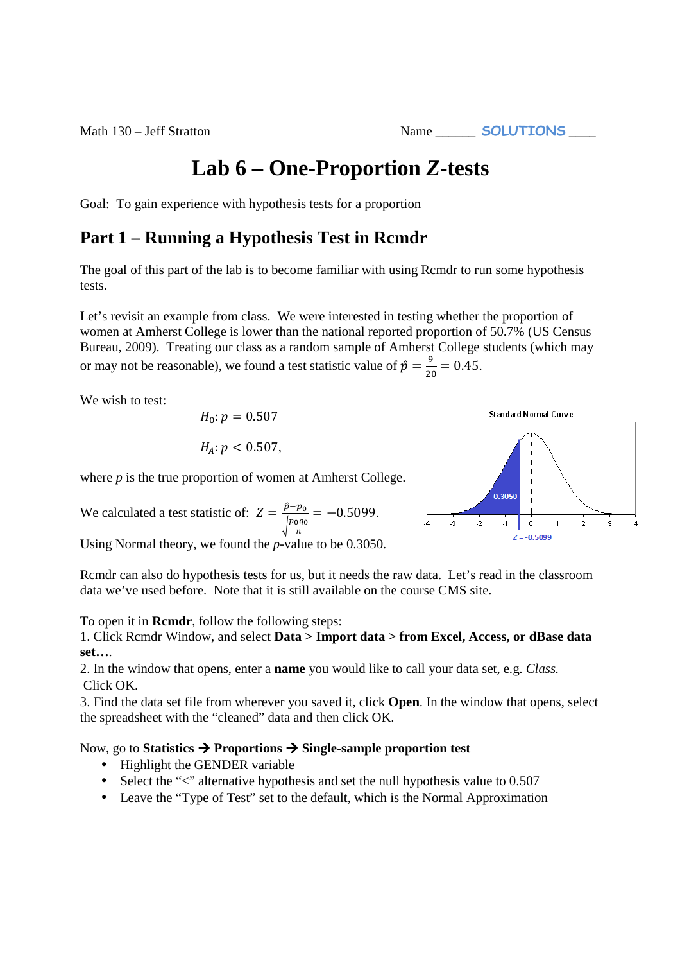**Lab 6 – One-Proportion** *Z***-tests** 

Goal: To gain experience with hypothesis tests for a proportion

## **Part 1 – Running a Hypothesis Test in Rcmdr**

The goal of this part of the lab is to become familiar with using Rcmdr to run some hypothesis tests.

Let's revisit an example from class. We were interested in testing whether the proportion of women at Amherst College is lower than the national reported proportion of 50.7% (US Census Bureau, 2009). Treating our class as a random sample of Amherst College students (which may or may not be reasonable), we found a test statistic value of  $\hat{p} = \frac{9}{20} = 0.45$ .

We wish to test:

$$
H_0: p = 0.507
$$

$$
H_A: p < 0.507,
$$

where *p* is the true proportion of women at Amherst College.

We calculated a test statistic of:  $Z = \frac{\hat{p} - p_0}{\sqrt{p_0 g_0}}$  $\sqrt{\frac{p_0 q_0}{n}}$  $=-0.5099.$ 

Using Normal theory, we found the *p*-value to be 0.3050.



To open it in **Rcmdr**, follow the following steps:

1. Click Rcmdr Window, and select **Data > Import data > from Excel, Access, or dBase data set…**.

2. In the window that opens, enter a **name** you would like to call your data set, e.g. *Class.*  Click OK.

3. Find the data set file from wherever you saved it, click **Open**. In the window that opens, select the spreadsheet with the "cleaned" data and then click OK.

## Now, go to **Statistics Proportions Single-sample proportion test**

- Highlight the GENDER variable
- Select the "<" alternative hypothesis and set the null hypothesis value to 0.507
- Leave the "Type of Test" set to the default, which is the Normal Approximation



Math 130 – Jeff Stratton Name **SOLUTIONS**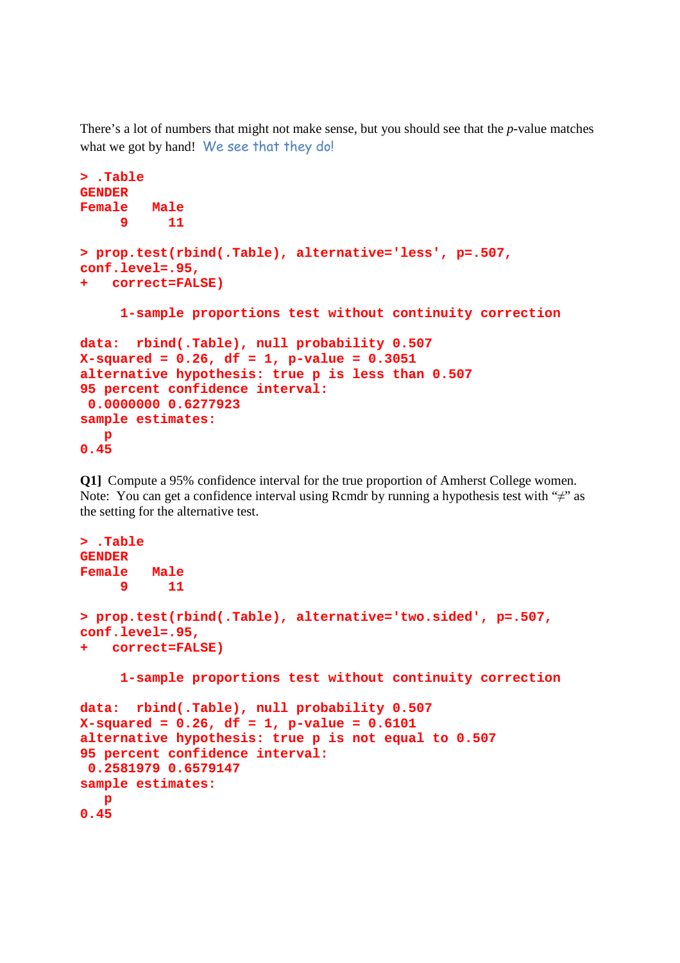There's a lot of numbers that might not make sense, but you should see that the *p*-value matches what we got by hand! We see that they do!

```
> .Table 
GENDER 
Female Male 
      9 11 
> prop.test(rbind(.Table), alternative='less', p=.507, 
conf.level=.95, 
+ correct=FALSE) 
      1-sample proportions test without continuity correction 
data: rbind(.Table), null probability 0.507 
X-squared = 0.26, df = 1, p-value = 0.3051 
alternative hypothesis: true p is less than 0.507 
95 percent confidence interval: 
  0.0000000 0.6277923 
sample estimates: 
   p 
0.45
```
**Q1]** Compute a 95% confidence interval for the true proportion of Amherst College women. Note: You can get a confidence interval using Rcmdr by running a hypothesis test with " $\neq$ " as the setting for the alternative test.

```
> .Table 
GENDER 
Female Male 
    9 11 
> prop.test(rbind(.Table), alternative='two.sided', p=.507, 
conf.level=.95, 
+ correct=FALSE) 
      1-sample proportions test without continuity correction 
data: rbind(.Table), null probability 0.507 
X-squared = 0.26, df = 1, p-value = 0.6101 
alternative hypothesis: true p is not equal to 0.507 
95 percent confidence interval: 
 0.2581979 0.6579147 
sample estimates: 
    p 
0.45
```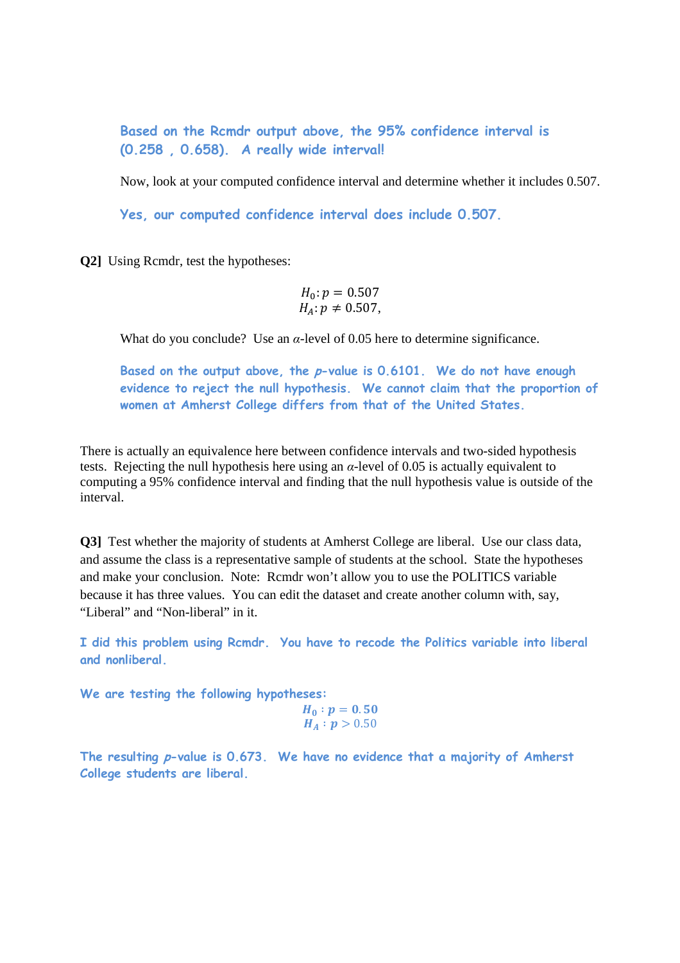**Based on the Rcmdr output above, the 95% confidence interval is (0.258 , 0.658). A really wide interval!**

Now, look at your computed confidence interval and determine whether it includes 0.507.

**Yes, our computed confidence interval does include 0.507.**

**Q2]** Using Rcmdr, test the hypotheses:

$$
H_0: p = 0.507
$$
  

$$
H_A: p \neq 0.507,
$$

What do you conclude? Use an  $\alpha$ -level of 0.05 here to determine significance.

**Based on the output above, the p-value is 0.6101. We do not have enough evidence to reject the null hypothesis. We cannot claim that the proportion of women at Amherst College differs from that of the United States.**

There is actually an equivalence here between confidence intervals and two-sided hypothesis tests. Rejecting the null hypothesis here using an *α*-level of 0.05 is actually equivalent to computing a 95% confidence interval and finding that the null hypothesis value is outside of the interval.

**Q3]** Test whether the majority of students at Amherst College are liberal. Use our class data, and assume the class is a representative sample of students at the school. State the hypotheses and make your conclusion. Note: Rcmdr won't allow you to use the POLITICS variable because it has three values. You can edit the dataset and create another column with, say, "Liberal" and "Non-liberal" in it.

**I did this problem using Rcmdr. You have to recode the Politics variable into liberal and nonliberal.** 

**We are testing the following hypotheses:** 

$$
H_0: p = 0.50
$$
  

$$
H_A: p > 0.50
$$

**The resulting p-value is 0.673. We have no evidence that a majority of Amherst College students are liberal.**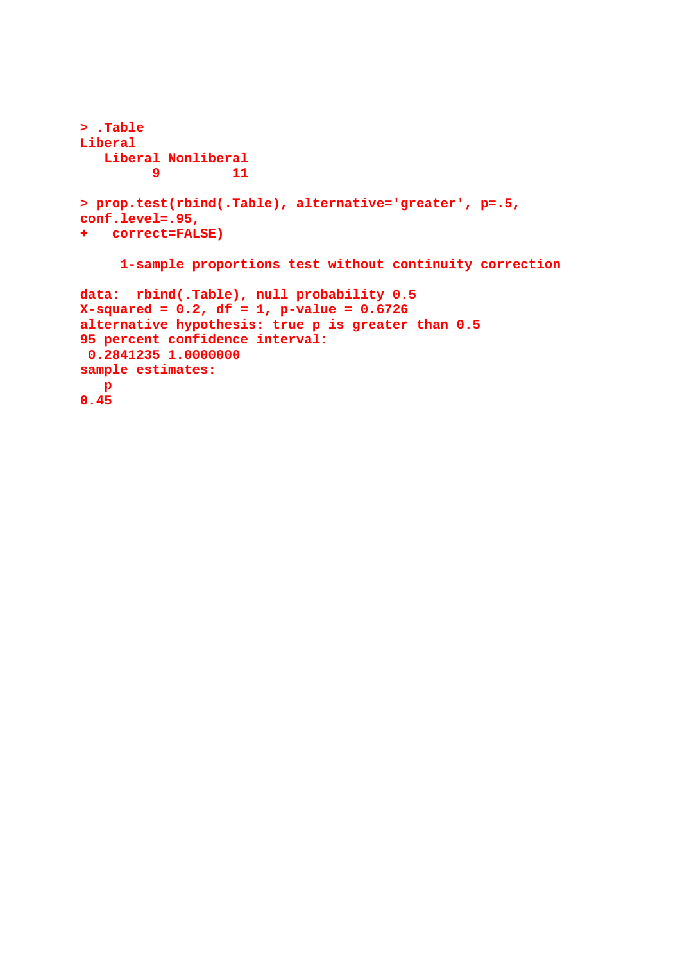```
> .Table 
Liberal 
    Liberal Nonliberal 
9 11
> prop.test(rbind(.Table), alternative='greater', p=.5, 
conf.level=.95, 
+ correct=FALSE) 
      1-sample proportions test without continuity correction 
data: rbind(.Table), null probability 0.5 
X-squared = 0.2, df = 1, p-value = 0.6726 
alternative hypothesis: true p is greater than 0.5 
95 percent confidence interval: 
 0.2841235 1.0000000 
sample estimates: 
   p 
0.45
```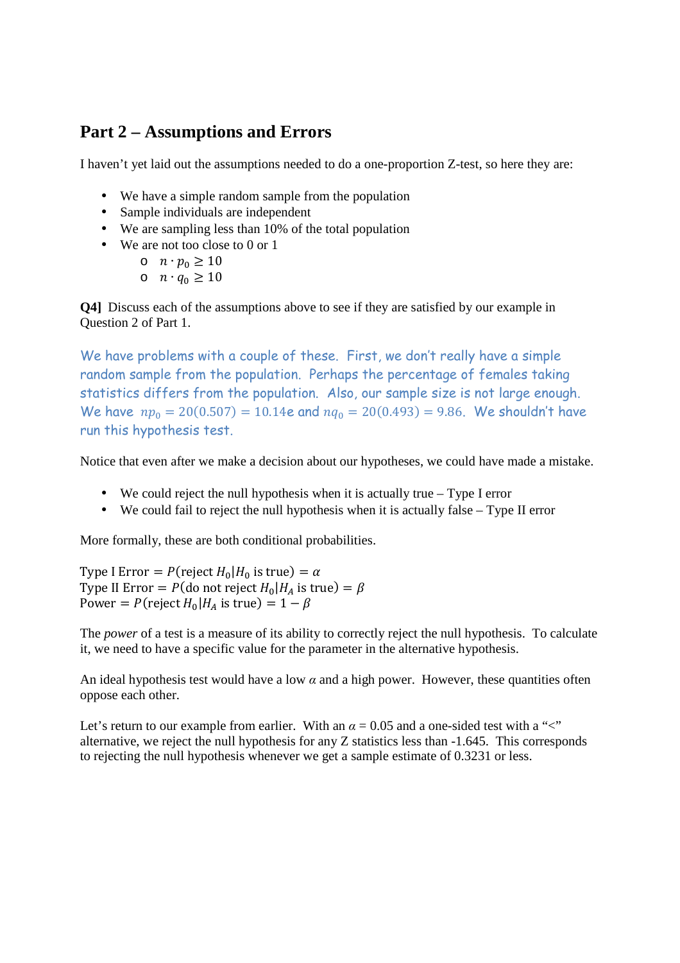## **Part 2 – Assumptions and Errors**

I haven't yet laid out the assumptions needed to do a one-proportion Z-test, so here they are:

- We have a simple random sample from the population
- Sample individuals are independent
- We are sampling less than 10% of the total population
- We are not too close to 0 or 1
	- o  $n \cdot p_0 \geq 10$
	- $\circ$   $n \cdot q_0 \ge 10$

**Q4]** Discuss each of the assumptions above to see if they are satisfied by our example in Question 2 of Part 1.

We have problems with a couple of these. First, we don't really have a simple random sample from the population. Perhaps the percentage of females taking statistics differs from the population. Also, our sample size is not large enough. We have  $np_0 = 20(0.507) = 10.14e$  and  $nq_0 = 20(0.493) = 9.86$ . We shouldn't have run this hypothesis test.

Notice that even after we make a decision about our hypotheses, we could have made a mistake.

- We could reject the null hypothesis when it is actually true Type I error
- We could fail to reject the null hypothesis when it is actually false Type II error

More formally, these are both conditional probabilities.

Type I Error =  $P$ (reject  $H_0|H_0$  is true) =  $\alpha$ Type II Error =  $P$ (do not reject  $H_0|H_A$  is true) =  $\beta$ Power =  $P$ (reject  $H_0|H_A$  is true) =  $1 - \beta$ 

The *power* of a test is a measure of its ability to correctly reject the null hypothesis. To calculate it, we need to have a specific value for the parameter in the alternative hypothesis.

An ideal hypothesis test would have a low  $\alpha$  and a high power. However, these quantities often oppose each other.

Let's return to our example from earlier. With an  $\alpha = 0.05$  and a one-sided test with a " $\lt$ " alternative, we reject the null hypothesis for any Z statistics less than -1.645. This corresponds to rejecting the null hypothesis whenever we get a sample estimate of 0.3231 or less.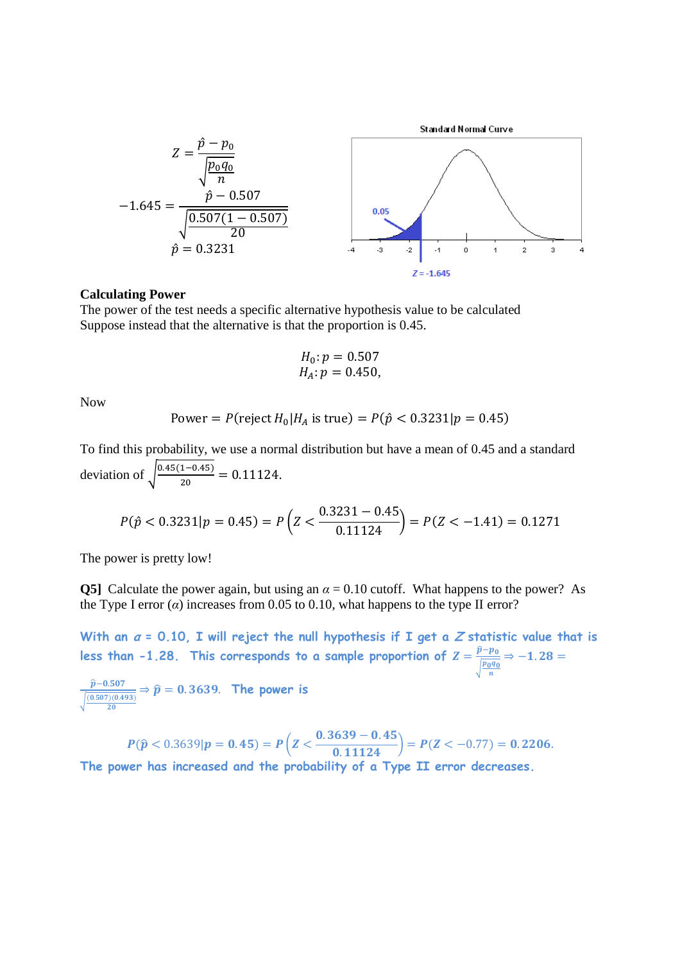

## **Calculating Power**

The power of the test needs a specific alternative hypothesis value to be calculated Suppose instead that the alternative is that the proportion is 0.45.

$$
H_0: p = 0.507 H_A: p = 0.450,
$$

Now

Power = 
$$
P(\text{reject } H_0 | H_A \text{ is true}) = P(\hat{p} < 0.3231 | p = 0.45)
$$

To find this probability, we use a normal distribution but have a mean of 0.45 and a standard deviation of  $\sqrt{\frac{0.45(1-0.45)}{20}}$  $\frac{1-0.45j}{20} = 0.11124.$ 

$$
P(\hat{p} < 0.3231 | p = 0.45) = P\left(Z < \frac{0.3231 - 0.45}{0.11124}\right) = P(Z < -1.41) = 0.1271
$$

The power is pretty low!

**Q5]** Calculate the power again, but using an  $\alpha = 0.10$  cutoff. What happens to the power? As the Type I error  $(a)$  increases from 0.05 to 0.10, what happens to the type II error?

With an  $a = 0.10$ , I will reject the null hypothesis if I get a Z statistic value that is less than -1.28. This corresponds to a sample proportion of  $Z = \frac{\widehat{p} - p_0}{\widehat{p_{\text{max}}}}$  $\sqrt{\frac{p_0 q_0}{n}}$  $\Rightarrow$  -1.28 =

 $\widehat{\boldsymbol{p}}$ –0.507  $\sqrt{\frac{(0.507)(0.493)}{20}}$ **20**  $\Rightarrow \widehat{\boldsymbol{p}} = \boldsymbol{0}.3639$ . The power is

$$
P(\widehat{p} < 0.3639 | p = 0.45) = P\left(Z < \frac{0.3639 - 0.45}{0.11124}\right) = P(Z < -0.77) = 0.2206.
$$

**The power has increased and the probability of a Type II error decreases.**